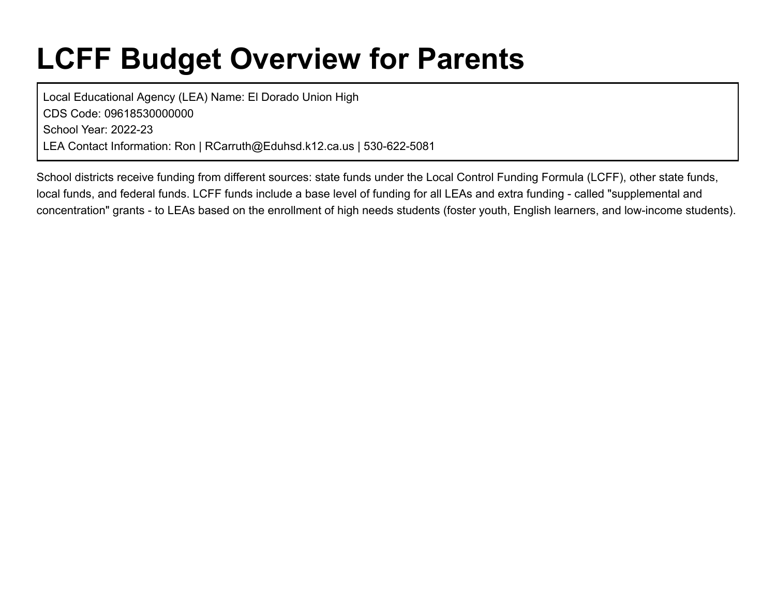# **LCFF Budget Overview for Parents**

Local Educational Agency (LEA) Name: El Dorado Union High CDS Code: 09618530000000 School Year: 2022-23 LEA Contact Information: Ron | RCarruth@Eduhsd.k12.ca.us | 530-622-5081

School districts receive funding from different sources: state funds under the Local Control Funding Formula (LCFF), other state funds, local funds, and federal funds. LCFF funds include a base level of funding for all LEAs and extra funding - called "supplemental and concentration" grants - to LEAs based on the enrollment of high needs students (foster youth, English learners, and low-income students).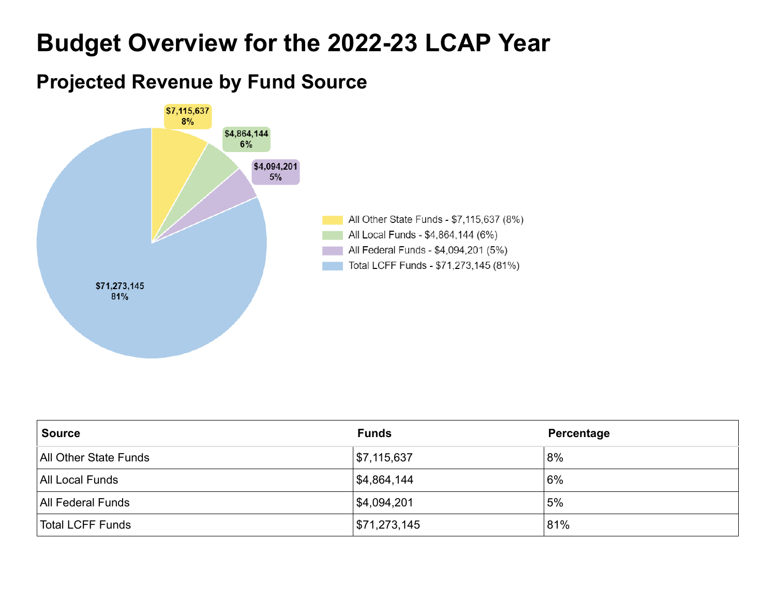## **Budget Overview for the 2022-23 LCAP Year**

### **Projected Revenue by Fund Source**



| <b>Source</b>                | <b>Funds</b> | Percentage |
|------------------------------|--------------|------------|
| <b>All Other State Funds</b> | \$7,115,637  | 8%         |
| <b>All Local Funds</b>       | 54,864,144   | 6%         |
| <b>All Federal Funds</b>     | \$4,094,201  | 5%         |
| Total LCFF Funds             | \$71,273,145 | 81%        |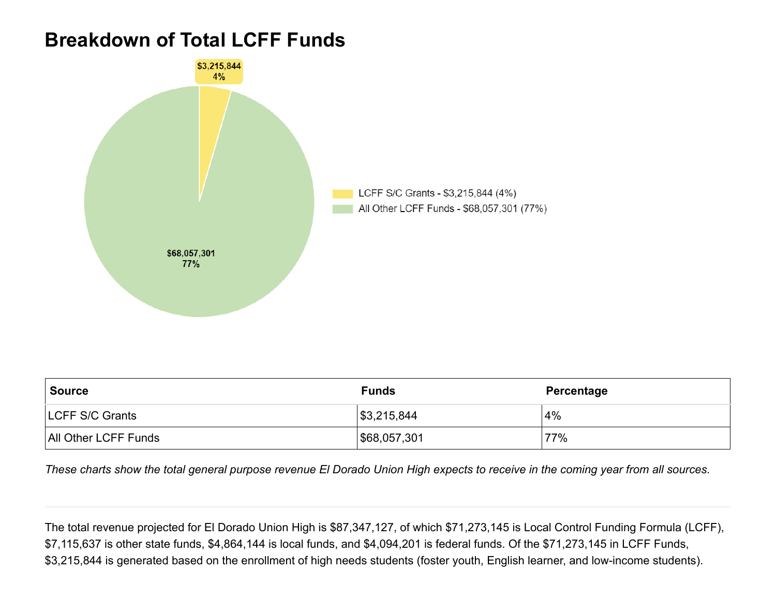### **Breakdown of Total LCFF Funds**



| <b>Source</b>          | <b>Funds</b> | Percentage |
|------------------------|--------------|------------|
| <b>LCFF S/C Grants</b> | \$3,215,844  | 4%         |
| All Other LCFF Funds   | \$68,057,301 | 77%        |

*These charts show the total general purpose revenue El Dorado Union High expects to receive in the coming year from all sources.*

The total revenue projected for El Dorado Union High is \$87,347,127, of which \$71,273,145 is Local Control Funding Formula (LCFF), \$7,115,637 is other state funds, \$4,864,144 is local funds, and \$4,094,201 is federal funds. Of the \$71,273,145 in LCFF Funds, \$3,215,844 is generated based on the enrollment of high needs students (foster youth, English learner, and low-income students).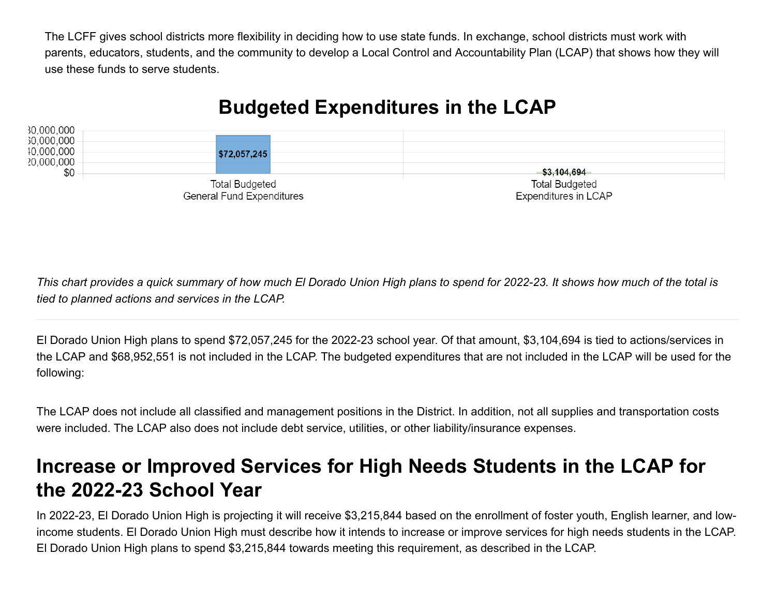The LCFF gives school districts more flexibility in deciding how to use state funds. In exchange, school districts must work with parents, educators, students, and the community to develop a Local Control and Accountability Plan (LCAP) that shows how they will use these funds to serve students.

### **Budgeted Expenditures in the LCAP**



*This chart provides a quick summary of how much El Dorado Union High plans to spend for 2022-23. It shows how much of the total is tied to planned actions and services in the LCAP.*

El Dorado Union High plans to spend \$72,057,245 for the 2022-23 school year. Of that amount, \$3,104,694 is tied to actions/services in the LCAP and \$68,952,551 is not included in the LCAP. The budgeted expenditures that are not included in the LCAP will be used for the following:

The LCAP does not include all classified and management positions in the District. In addition, not all supplies and transportation costs were included. The LCAP also does not include debt service, utilities, or other liability/insurance expenses.

### **Increase or Improved Services for High Needs Students in the LCAP for the 2022-23 School Year**

In 2022-23, El Dorado Union High is projecting it will receive \$3,215,844 based on the enrollment of foster youth, English learner, and lowincome students. El Dorado Union High must describe how it intends to increase or improve services for high needs students in the LCAP. El Dorado Union High plans to spend \$3,215,844 towards meeting this requirement, as described in the LCAP.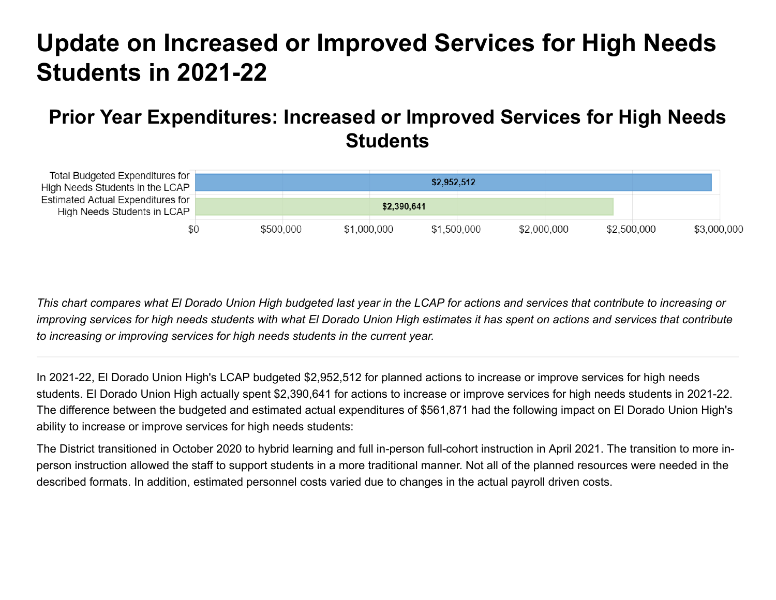## **Update on Increased or Improved Services for High Needs Students in 2021-22**

### **Prior Year Expenditures: Increased or Improved Services for High Needs Students**

| Total Budgeted Expenditures for<br>High Needs Students in the LCAP |           | \$2,952,512 |             |             |                            |
|--------------------------------------------------------------------|-----------|-------------|-------------|-------------|----------------------------|
| Estimated Actual Expenditures for<br>High Needs Students in LCAP   |           | \$2,390,641 |             |             |                            |
| \$0                                                                | \$500,000 | \$1,000,000 | \$1,500,000 | \$2,000,000 | \$2,500,000<br>\$3,000,000 |

*This chart compares what El Dorado Union High budgeted last year in the LCAP for actions and services that contribute to increasing or improving services for high needs students with what El Dorado Union High estimates it has spent on actions and services that contribute to increasing or improving services for high needs students in the current year.*

In 2021-22, El Dorado Union High's LCAP budgeted \$2,952,512 for planned actions to increase or improve services for high needs students. El Dorado Union High actually spent \$2,390,641 for actions to increase or improve services for high needs students in 2021-22. The difference between the budgeted and estimated actual expenditures of \$561,871 had the following impact on El Dorado Union High's ability to increase or improve services for high needs students:

The District transitioned in October 2020 to hybrid learning and full in-person full-cohort instruction in April 2021. The transition to more inperson instruction allowed the staff to support students in a more traditional manner. Not all of the planned resources were needed in the described formats. In addition, estimated personnel costs varied due to changes in the actual payroll driven costs.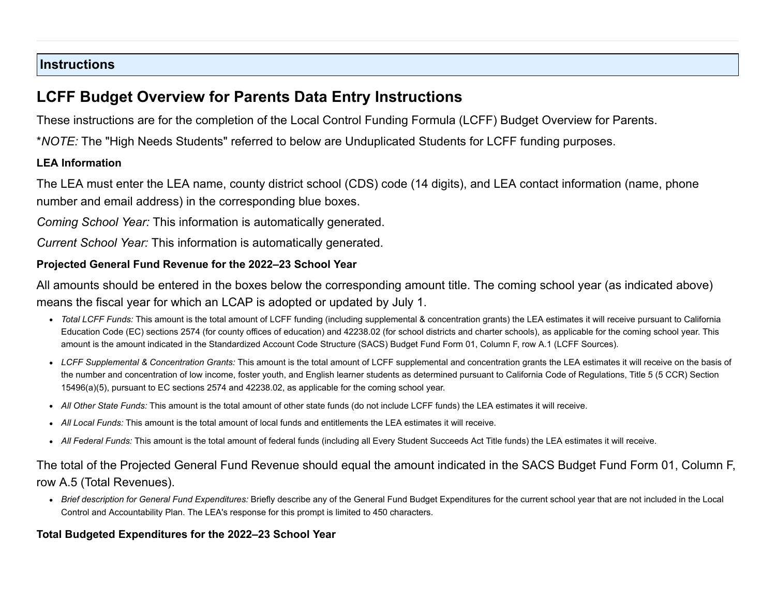#### **Instructions**

### **LCFF Budget Overview for Parents Data Entry Instructions**

These instructions are for the completion of the Local Control Funding Formula (LCFF) Budget Overview for Parents.

\**NOTE:* The "High Needs Students" referred to below are Unduplicated Students for LCFF funding purposes.

#### **LEA Information**

The LEA must enter the LEA name, county district school (CDS) code (14 digits), and LEA contact information (name, phone number and email address) in the corresponding blue boxes.

*Coming School Year:* This information is automatically generated.

*Current School Year:* This information is automatically generated.

#### **Projected General Fund Revenue for the 2022–23 School Year**

All amounts should be entered in the boxes below the corresponding amount title. The coming school year (as indicated above) means the fiscal year for which an LCAP is adopted or updated by July 1.

- *Total LCFF Funds:* This amount is the total amount of LCFF funding (including supplemental & concentration grants) the LEA estimates it will receive pursuant to California Education Code (EC) sections 2574 (for county offices of education) and 42238.02 (for school districts and charter schools), as applicable for the coming school year. This amount is the amount indicated in the Standardized Account Code Structure (SACS) Budget Fund Form 01, Column F, row A.1 (LCFF Sources).
- *LCFF Supplemental & Concentration Grants:* This amount is the total amount of LCFF supplemental and concentration grants the LEA estimates it will receive on the basis of the number and concentration of low income, foster youth, and English learner students as determined pursuant to California Code of Regulations, Title 5 (5 CCR) Section 15496(a)(5), pursuant to EC sections 2574 and 42238.02, as applicable for the coming school year.
- *All Other State Funds:* This amount is the total amount of other state funds (do not include LCFF funds) the LEA estimates it will receive.
- *All Local Funds:* This amount is the total amount of local funds and entitlements the LEA estimates it will receive.
- *All Federal Funds:* This amount is the total amount of federal funds (including all Every Student Succeeds Act Title funds) the LEA estimates it will receive.

#### The total of the Projected General Fund Revenue should equal the amount indicated in the SACS Budget Fund Form 01, Column F, row A.5 (Total Revenues).

*Brief description for General Fund Expenditures:* Briefly describe any of the General Fund Budget Expenditures for the current school year that are not included in the Local Control and Accountability Plan. The LEA's response for this prompt is limited to 450 characters.

#### **Total Budgeted Expenditures for the 2022–23 School Year**